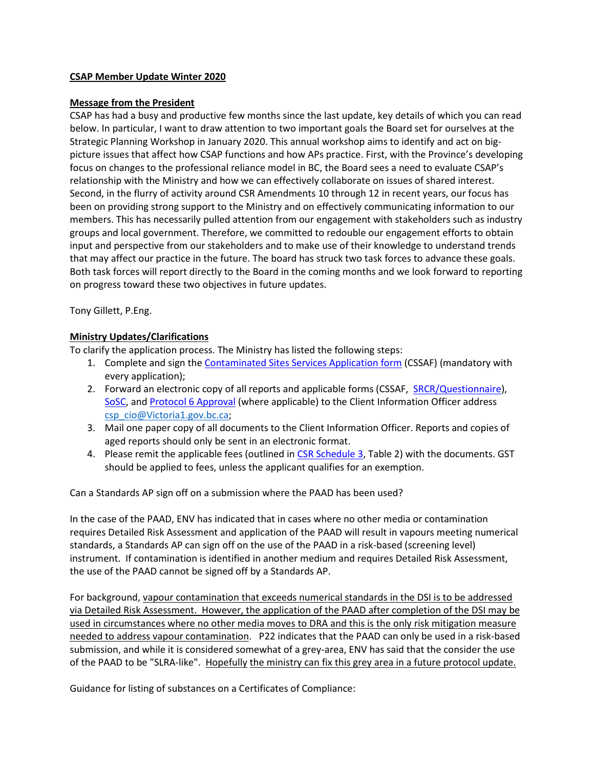#### **CSAP Member Update Winter 2020**

#### **Message from the President**

CSAP has had a busy and productive few months since the last update, key details of which you can read below. In particular, I want to draw attention to two important goals the Board set for ourselves at the Strategic Planning Workshop in January 2020. This annual workshop aims to identify and act on bigpicture issues that affect how CSAP functions and how APs practice. First, with the Province's developing focus on changes to the professional reliance model in BC, the Board sees a need to evaluate CSAP's relationship with the Ministry and how we can effectively collaborate on issues of shared interest. Second, in the flurry of activity around CSR Amendments 10 through 12 in recent years, our focus has been on providing strong support to the Ministry and on effectively communicating information to our members. This has necessarily pulled attention from our engagement with stakeholders such as industry groups and local government. Therefore, we committed to redouble our engagement efforts to obtain input and perspective from our stakeholders and to make use of their knowledge to understand trends that may affect our practice in the future. The board has struck two task forces to advance these goals. Both task forces will report directly to the Board in the coming months and we look forward to reporting on progress toward these two objectives in future updates.

Tony Gillett, P.Eng.

#### **Ministry Updates/Clarifications**

To clarify the application process. The Ministry has listed the following steps:

- 1. Complete and sign the [Contaminated Sites Services Application form](https://www2.gov.bc.ca/assets/gov/environment/air-land-water/site-remediation/docs/forms/contaminated_sites_services_application_form.pdf?forcedownload=true) (CSSAF) (mandatory with every application);
- 2. Forward an electronic copy of all reports and applicable forms (CSSAF, [SRCR/Questionnaire\)](https://www2.gov.bc.ca/assets/gov/environment/air-land-water/site-remediation/docs/forms/site_risk_classification_report_final.pdf?forcedownload=true), [SoSC,](https://www2.gov.bc.ca/assets/gov/environment/air-land-water/site-remediation/docs/forms/summary_of_site_condition_final.pdf?forcedownload=true) and [Protocol 6 Approval](https://www2.gov.bc.ca/assets/gov/environment/air-land-water/site-remediation/docs/forms/protocol_6_final.pdf?forcedownload=true) (where applicable) to the Client Information Officer address [csp\\_cio@Victoria1.gov.bc.ca;](mailto:csp_cio@Victoria1.gov.bc.ca)
- 3. Mail one paper copy of all documents to the Client Information Officer. Reports and copies of aged reports should only be sent in an electronic format.
- 4. Please remit the applicable fees (outlined i[n CSR Schedule 3,](mailto:http://www.bclaws.ca/civix/document/id/complete/statreg/375_96_06%23Schedule3) Table 2) with the documents. GST should be applied to fees, unless the applicant qualifies for an exemption.

Can a Standards AP sign off on a submission where the PAAD has been used?

In the case of the PAAD, ENV has indicated that in cases where no other media or contamination requires Detailed Risk Assessment and application of the PAAD will result in vapours meeting numerical standards, a Standards AP can sign off on the use of the PAAD in a risk-based (screening level) instrument. If contamination is identified in another medium and requires Detailed Risk Assessment, the use of the PAAD cannot be signed off by a Standards AP.

For background, vapour contamination that exceeds numerical standards in the DSI is to be addressed via Detailed Risk Assessment. However, the application of the PAAD after completion of the DSI may be used in circumstances where no other media moves to DRA and this is the only risk mitigation measure needed to address vapour contamination. P22 indicates that the PAAD can only be used in a risk-based submission, and while it is considered somewhat of a grey-area, ENV has said that the consider the use of the PAAD to be "SLRA-like". Hopefully the ministry can fix this grey area in a future protocol update.

Guidance for listing of substances on a Certificates of Compliance: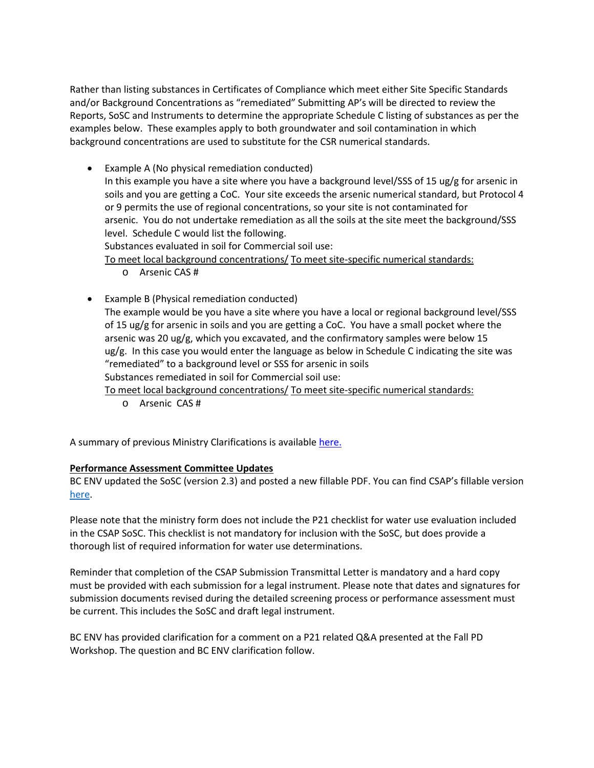Rather than listing substances in Certificates of Compliance which meet either Site Specific Standards and/or Background Concentrations as "remediated" Submitting AP's will be directed to review the Reports, SoSC and Instruments to determine the appropriate Schedule C listing of substances as per the examples below. These examples apply to both groundwater and soil contamination in which background concentrations are used to substitute for the CSR numerical standards.

• Example A (No physical remediation conducted) In this example you have a site where you have a background level/SSS of 15 ug/g for arsenic in soils and you are getting a CoC. Your site exceeds the arsenic numerical standard, but Protocol 4 or 9 permits the use of regional concentrations, so your site is not contaminated for arsenic. You do not undertake remediation as all the soils at the site meet the background/SSS level. Schedule C would list the following. Substances evaluated in soil for Commercial soil use: To meet local background concentrations/ To meet site-specific numerical standards:

o Arsenic CAS #

• Example B (Physical remediation conducted) The example would be you have a site where you have a local or regional background level/SSS of 15 ug/g for arsenic in soils and you are getting a CoC. You have a small pocket where the arsenic was 20 ug/g, which you excavated, and the confirmatory samples were below 15 ug/g. In this case you would enter the language as below in Schedule C indicating the site was "remediated" to a background level or SSS for arsenic in soils Substances remediated in soil for Commercial soil use:

To meet local background concentrations/ To meet site-specific numerical standards:

o Arsenic CAS #

A summary of previous Ministry Clarifications is available [here.](https://csapsociety.bc.ca/wp-content/uploads/Ministry-Updates-Spring-2018-to-Summer-2012.pdf)

#### **Performance Assessment Committee Updates**

BC ENV updated the SoSC (version 2.3) and posted a new fillable PDF. You can find CSAP's fillable version [here.](https://csapsociety.bc.ca/submission-package-forms/)

Please note that the ministry form does not include the P21 checklist for water use evaluation included in the CSAP SoSC. This checklist is not mandatory for inclusion with the SoSC, but does provide a thorough list of required information for water use determinations.

Reminder that completion of the CSAP Submission Transmittal Letter is mandatory and a hard copy must be provided with each submission for a legal instrument. Please note that dates and signatures for submission documents revised during the detailed screening process or performance assessment must be current. This includes the SoSC and draft legal instrument.

BC ENV has provided clarification for a comment on a P21 related Q&A presented at the Fall PD Workshop. The question and BC ENV clarification follow.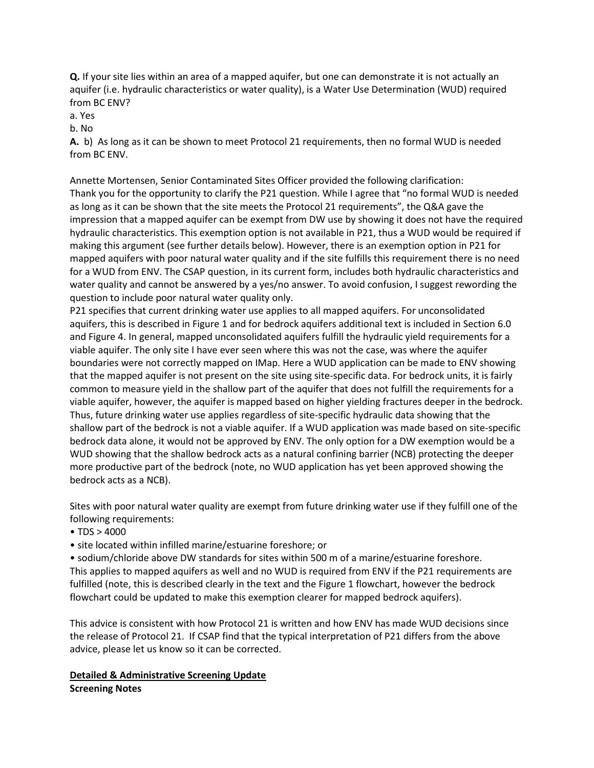**Q.** If your site lies within an area of a mapped aquifer, but one can demonstrate it is not actually an aquifer (i.e. hydraulic characteristics or water quality), is a Water Use Determination (WUD) required from BC ENV?

a. Yes

b. No

**A.** b) As long as it can be shown to meet Protocol 21 requirements, then no formal WUD is needed from BC ENV.

Annette Mortensen, Senior Contaminated Sites Officer provided the following clarification: Thank you for the opportunity to clarify the P21 question. While I agree that "no formal WUD is needed as long as it can be shown that the site meets the Protocol 21 requirements", the Q&A gave the impression that a mapped aquifer can be exempt from DW use by showing it does not have the required hydraulic characteristics. This exemption option is not available in P21, thus a WUD would be required if making this argument (see further details below). However, there is an exemption option in P21 for mapped aquifers with poor natural water quality and if the site fulfills this requirement there is no need for a WUD from ENV. The CSAP question, in its current form, includes both hydraulic characteristics and water quality and cannot be answered by a yes/no answer. To avoid confusion, I suggest rewording the question to include poor natural water quality only.

P21 specifies that current drinking water use applies to all mapped aquifers. For unconsolidated aquifers, this is described in Figure 1 and for bedrock aquifers additional text is included in Section 6.0 and Figure 4. In general, mapped unconsolidated aquifers fulfill the hydraulic yield requirements for a viable aquifer. The only site I have ever seen where this was not the case, was where the aquifer boundaries were not correctly mapped on IMap. Here a WUD application can be made to ENV showing that the mapped aquifer is not present on the site using site-specific data. For bedrock units, it is fairly common to measure yield in the shallow part of the aquifer that does not fulfill the requirements for a viable aquifer, however, the aquifer is mapped based on higher yielding fractures deeper in the bedrock. Thus, future drinking water use applies regardless of site-specific hydraulic data showing that the shallow part of the bedrock is not a viable aquifer. If a WUD application was made based on site-specific bedrock data alone, it would not be approved by ENV. The only option for a DW exemption would be a WUD showing that the shallow bedrock acts as a natural confining barrier (NCB) protecting the deeper more productive part of the bedrock (note, no WUD application has yet been approved showing the bedrock acts as a NCB).

Sites with poor natural water quality are exempt from future drinking water use if they fulfill one of the following requirements:

- TDS  $> 4000$
- site located within infilled marine/estuarine foreshore; or

• sodium/chloride above DW standards for sites within 500 m of a marine/estuarine foreshore. This applies to mapped aquifers as well and no WUD is required from ENV if the P21 requirements are fulfilled (note, this is described clearly in the text and the Figure 1 flowchart, however the bedrock flowchart could be updated to make this exemption clearer for mapped bedrock aquifers).

This advice is consistent with how Protocol 21 is written and how ENV has made WUD decisions since the release of Protocol 21. If CSAP find that the typical interpretation of P21 differs from the above advice, please let us know so it can be corrected.

## **Detailed & Administrative Screening Update Screening Notes**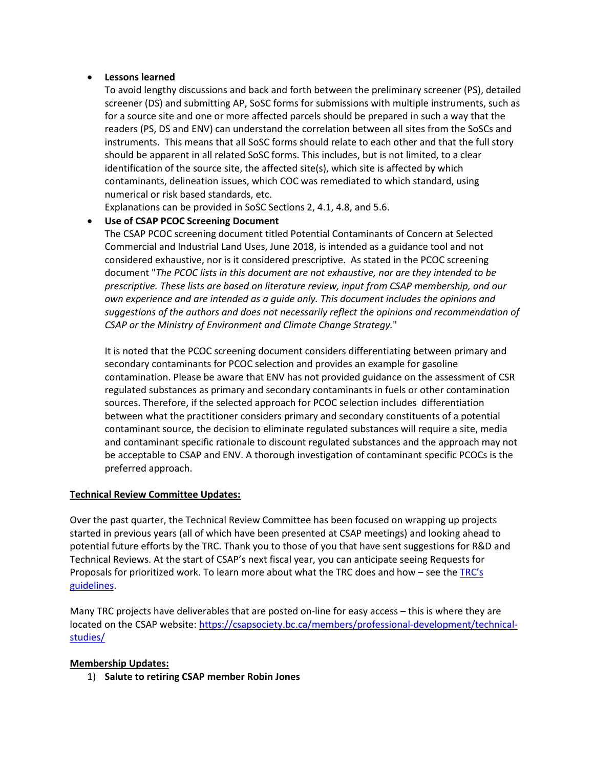#### • **Lessons learned**

To avoid lengthy discussions and back and forth between the preliminary screener (PS), detailed screener (DS) and submitting AP, SoSC forms for submissions with multiple instruments, such as for a source site and one or more affected parcels should be prepared in such a way that the readers (PS, DS and ENV) can understand the correlation between all sites from the SoSCs and instruments. This means that all SoSC forms should relate to each other and that the full story should be apparent in all related SoSC forms. This includes, but is not limited, to a clear identification of the source site, the affected site(s), which site is affected by which contaminants, delineation issues, which COC was remediated to which standard, using numerical or risk based standards, etc.

Explanations can be provided in SoSC Sections 2, 4.1, 4.8, and 5.6.

## • **Use of CSAP PCOC Screening Document**

The CSAP PCOC screening document titled Potential Contaminants of Concern at Selected Commercial and Industrial Land Uses, June 2018, is intended as a guidance tool and not considered exhaustive, nor is it considered prescriptive. As stated in the PCOC screening document "*The PCOC lists in this document are not exhaustive, nor are they intended to be prescriptive. These lists are based on literature review, input from CSAP membership, and our own experience and are intended as a guide only. This document includes the opinions and suggestions of the authors and does not necessarily reflect the opinions and recommendation of CSAP or the Ministry of Environment and Climate Change Strategy.*"

It is noted that the PCOC screening document considers differentiating between primary and secondary contaminants for PCOC selection and provides an example for gasoline contamination. Please be aware that ENV has not provided guidance on the assessment of CSR regulated substances as primary and secondary contaminants in fuels or other contamination sources. Therefore, if the selected approach for PCOC selection includes differentiation between what the practitioner considers primary and secondary constituents of a potential contaminant source, the decision to eliminate regulated substances will require a site, media and contaminant specific rationale to discount regulated substances and the approach may not be acceptable to CSAP and ENV. A thorough investigation of contaminant specific PCOCs is the preferred approach.

## **Technical Review Committee Updates:**

Over the past quarter, the Technical Review Committee has been focused on wrapping up projects started in previous years (all of which have been presented at CSAP meetings) and looking ahead to potential future efforts by the TRC. Thank you to those of you that have sent suggestions for R&D and Technical Reviews. At the start of CSAP's next fiscal year, you can anticipate seeing Requests for Proposals for prioritized work. To learn more about what the TRC does and how – see the  $TRC's$ [guidelines.](http://csapsociety.bc.ca/wp-content/uploads/TRC-Guidelines-draft-for-Governance-ctee-revised-Jul-2019.pdf)

Many TRC projects have deliverables that are posted on-line for easy access – this is where they are located on the CSAP website: [https://csapsociety.bc.ca/members/professional-development/technical](https://csapsociety.bc.ca/members/professional-development/technical-studies/)[studies/](https://csapsociety.bc.ca/members/professional-development/technical-studies/)

## **Membership Updates:**

1) **Salute to retiring CSAP member Robin Jones**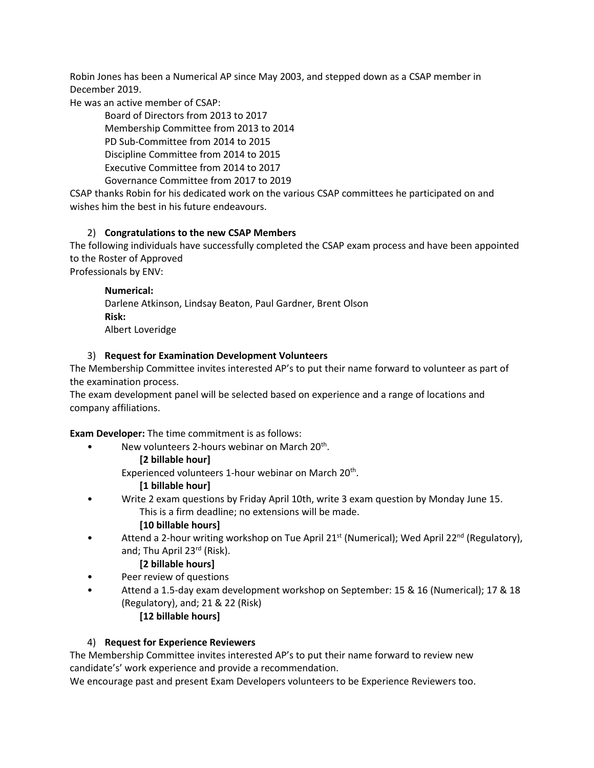Robin Jones has been a Numerical AP since May 2003, and stepped down as a CSAP member in December 2019.

He was an active member of CSAP:

Board of Directors from 2013 to 2017 Membership Committee from 2013 to 2014 PD Sub-Committee from 2014 to 2015

Discipline Committee from 2014 to 2015

Executive Committee from 2014 to 2017

Governance Committee from 2017 to 2019

CSAP thanks Robin for his dedicated work on the various CSAP committees he participated on and wishes him the best in his future endeavours.

# 2) **Congratulations to the new CSAP Members**

The following individuals have successfully completed the CSAP exam process and have been appointed to the Roster of Approved

Professionals by ENV:

#### **Numerical:**

Darlene Atkinson, Lindsay Beaton, Paul Gardner, Brent Olson **Risk:** Albert Loveridge

## 3) **Request for Examination Development Volunteers**

The Membership Committee invites interested AP's to put their name forward to volunteer as part of the examination process.

The exam development panel will be selected based on experience and a range of locations and company affiliations.

**Exam Developer:** The time commitment is as follows:

• New volunteers 2-hours webinar on March  $20<sup>th</sup>$ .

**[2 billable hour]**

Experienced volunteers 1-hour webinar on March 20<sup>th</sup>.

# **[1 billable hour]**

• Write 2 exam questions by Friday April 10th, write 3 exam question by Monday June 15. This is a firm deadline; no extensions will be made.

## **[10 billable hours]**

Attend a 2-hour writing workshop on Tue April 21<sup>st</sup> (Numerical); Wed April 22<sup>nd</sup> (Regulatory), and; Thu April 23<sup>rd</sup> (Risk).

# **[2 billable hours]**

- Peer review of questions
- Attend a 1.5-day exam development workshop on September: 15 & 16 (Numerical); 17 & 18 (Regulatory), and; 21 & 22 (Risk) **[12 billable hours]**

# 4) **Request for Experience Reviewers**

The Membership Committee invites interested AP's to put their name forward to review new candidate's' work experience and provide a recommendation.

We encourage past and present Exam Developers volunteers to be Experience Reviewers too.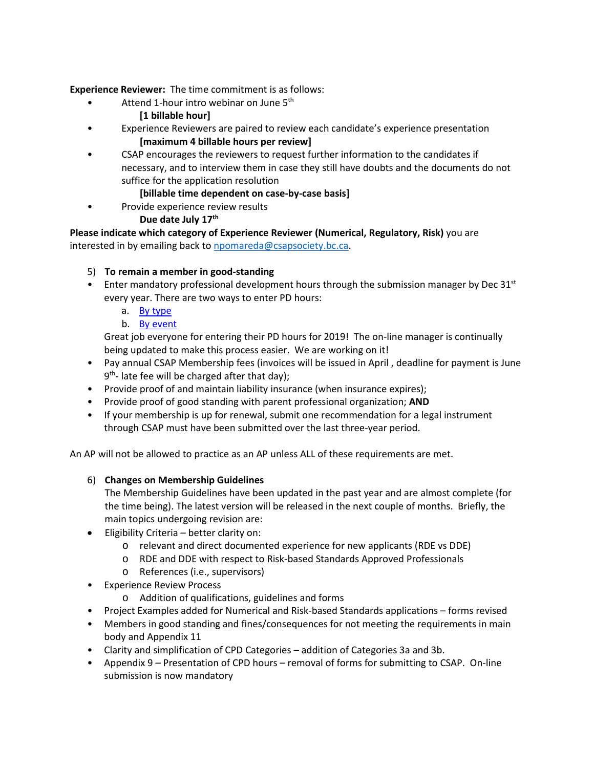**Experience Reviewer:** The time commitment is as follows:

- Attend 1-hour intro webinar on June 5<sup>th</sup>
	- **[1 billable hour]**
- Experience Reviewers are paired to review each candidate's experience presentation **[maximum 4 billable hours per review]**
- CSAP encourages the reviewers to request further information to the candidates if necessary, and to interview them in case they still have doubts and the documents do not suffice for the application resolution

# **[billable time dependent on case-by-case basis]**

Provide experience review results

# **Due date July 17th**

**Please indicate which category of Experience Reviewer (Numerical, Regulatory, Risk)** you are interested in by emailing back to [npomareda@csapsociety.bc.ca.](mailto:npomareda@csapsociety.bc.ca)

# 5) **To remain a member in good-standing**

- Enter mandatory professional development hours through the submission manager by Dec  $31^{st}$ every year. There are two ways to enter PD hours:
	- a. [By type](http://csapsociety.bc.ca/wp-content/uploads/CSAP-PD-Hours-Report-two-ways-to-report_type.pdf)
	- b. [By event](http://csapsociety.bc.ca/wp-content/uploads/CSAP-PD-Hours-Report-two-ways-to-report_event.pdf)

Great job everyone for entering their PD hours for 2019! The on-line manager is continually being updated to make this process easier. We are working on it!

- Pay annual CSAP Membership fees (invoices will be issued in April , deadline for payment is June  $9<sup>th</sup>$ - late fee will be charged after that day);
- Provide proof of and maintain liability insurance (when insurance expires);
- Provide proof of good standing with parent professional organization; **AND**
- If your membership is up for renewal, submit one recommendation for a legal instrument through CSAP must have been submitted over the last three-year period.

An AP will not be allowed to practice as an AP unless ALL of these requirements are met.

## 6) **Changes on Membership Guidelines**

The Membership Guidelines have been updated in the past year and are almost complete (for the time being). The latest version will be released in the next couple of months. Briefly, the main topics undergoing revision are:

- Eligibility Criteria better clarity on:
	- o relevant and direct documented experience for new applicants (RDE vs DDE)
	- o RDE and DDE with respect to Risk-based Standards Approved Professionals
	- o References (i.e., supervisors)
- Experience Review Process
	- o Addition of qualifications, guidelines and forms
- Project Examples added for Numerical and Risk-based Standards applications forms revised
- Members in good standing and fines/consequences for not meeting the requirements in main body and Appendix 11
- Clarity and simplification of CPD Categories addition of Categories 3a and 3b.
- Appendix 9 Presentation of CPD hours removal of forms for submitting to CSAP. On-line submission is now mandatory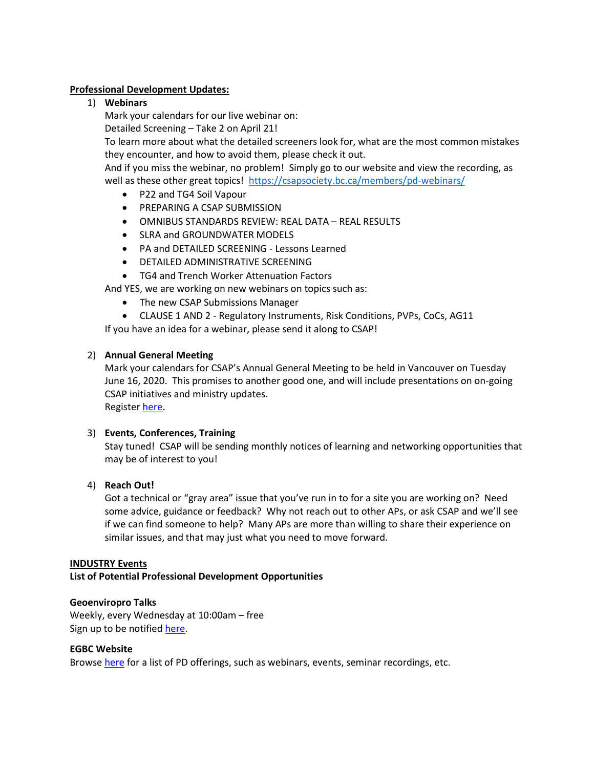#### **Professional Development Updates:**

1) **Webinars**

Mark your calendars for our live webinar on:

Detailed Screening – Take 2 on April 21!

To learn more about what the detailed screeners look for, what are the most common mistakes they encounter, and how to avoid them, please check it out.

And if you miss the webinar, no problem! Simply go to our website and view the recording, as well as these other great topics! <https://csapsociety.bc.ca/members/pd-webinars/>

- P22 and TG4 Soil Vapour
- PREPARING A CSAP SUBMISSION
- OMNIBUS STANDARDS REVIEW: REAL DATA REAL RESULTS
- SLRA and GROUNDWATER MODELS
- PA and DETAILED SCREENING Lessons Learned
- DETAILED ADMINISTRATIVE SCREENING
- TG4 and Trench Worker Attenuation Factors

And YES, we are working on new webinars on topics such as:

- The new CSAP Submissions Manager
- CLAUSE 1 AND 2 Regulatory Instruments, Risk Conditions, PVPs, CoCs, AG11

If you have an idea for a webinar, please send it along to CSAP!

#### 2) **Annual General Meeting**

Mark your calendars for CSAP's Annual General Meeting to be held in Vancouver on Tuesday June 16, 2020. This promises to another good one, and will include presentations on on-going CSAP initiatives and ministry updates. Register [here.](https://csapsociety.bc.ca/events-2/)

# 3) **Events, Conferences, Training**

Stay tuned! CSAP will be sending monthly notices of learning and networking opportunities that may be of interest to you!

## 4) **Reach Out!**

Got a technical or "gray area" issue that you've run in to for a site you are working on? Need some advice, guidance or feedback? Why not reach out to other APs, or ask CSAP and we'll see if we can find someone to help? Many APs are more than willing to share their experience on similar issues, and that may just what you need to move forward.

#### **INDUSTRY Events**

**List of Potential Professional Development Opportunities**

#### **Geoenviropro Talks**

Weekly, every Wednesday at 10:00am – free Sign up to be notified [here.](http://geoenviropro.com/gprotalks/)

#### **EGBC Website**

Browse here for a list of PD offerings, such as webinars, events, seminar recordings, etc.